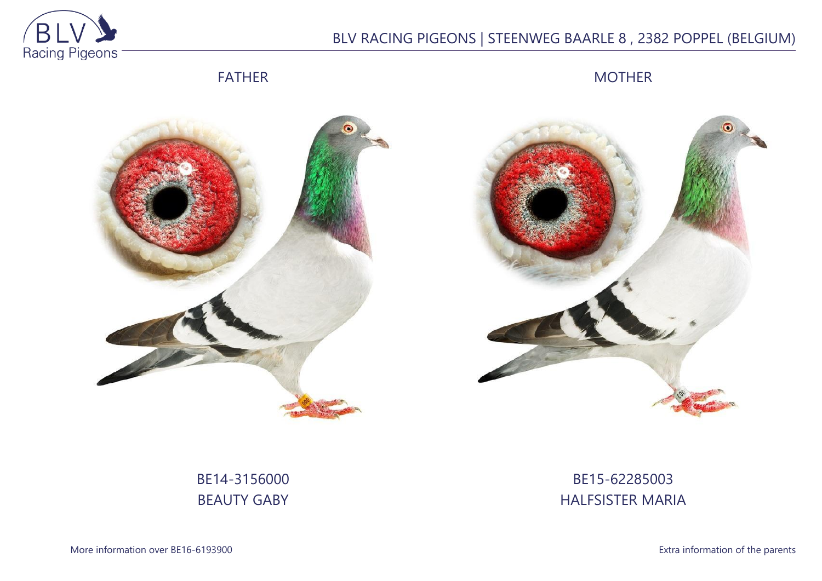

# BLV RACING PIGEONS | STEENWEG BAARLE 8 , 2382 POPPEL (BELGIUM)

FATHER

MOTHER





BE14-3156000 BEAUTY GABY

## BE15-62285003 HALFSISTER MARIA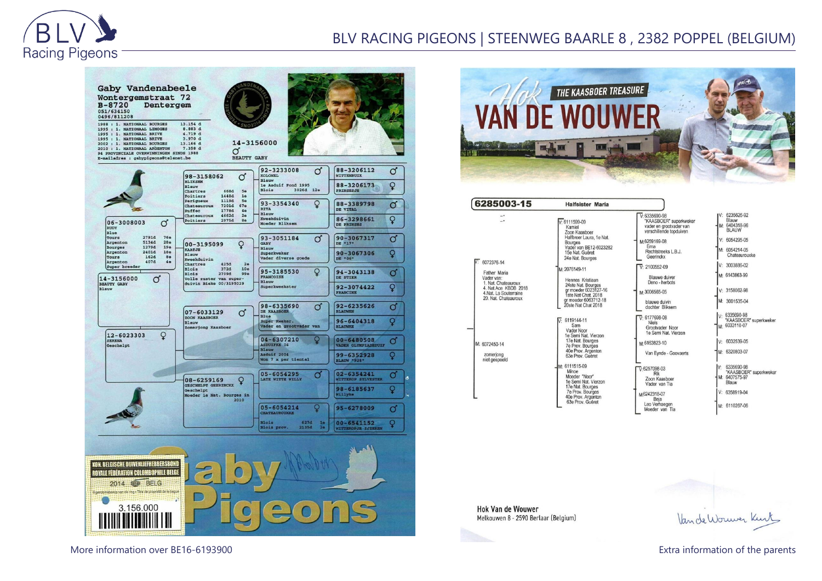

### BLV RACING PIGEONS | STEENWEG BAARLE 8 , 2382 POPPEL (BELGIUM)





6285003-15 **Halfsister Maria** 6235626-92  $\sqrt{6335690.98}$  $\rightarrow$ L. "KAASBOER" superkweker Blauw<br>6404318-96  $V$ -6111599-09 vader en grootvader van Kamiel **RI AIIW** verschillende tonduiven Zoon Kaasboer Halfbroer Laura 1e Nat M:6259169-08 6054295-05 Bourges Bourges<br>Vader van BE12-6023282<br>15e Nat. Guéret Ema M: 6054214-05 Rechtstreeks L.B.J. Chateaurouxke 24e Nat. Bourges Geeringky 6072376-14 V: 3003886-02  $\nabla$  2100552-09 1:2076149-11 Father Maria M: 6143863-99 **Blauwe duiver** Vader van: Hennes Kristiaan 1. Nat. Chateauroux Deno - herbots Fiennes Kristiaan<br>24ste Nat. Bourges<br>gr moeder 6023127-16<br>1ste Nat Chat. 2018 4. Nat. Ace KBDB 2018<br>4. Nat. La Souterraine M: 3006565-05 V: 3158062-98 20. Nat. Chateauroux gr moeder 6063712-18 M: 3001535-04 blauwe duivin 20ste Nat Chat 2018 dochter Bliksem 6335690-98<br>"KAASBOER" superkweker  $\nabla: 6177698-08$ 6119144-11 **Niels** Sam M. 6033110-07 Grootvader Noor Vader Noor 1e Semi Nat. Vierzor The Semi Nat. Vierzon 17e Nat. Bourges  $4.6032539-05$ M-6163823-10 M: 6072450-14 7e Prov. Bourges 40e Prov. Argenton M: 6320803-07 Van Eynde - Goovaerts zomerjong 63e Prov. Guéret niet gespeeld  $: 6111515-09$ 6335690-98  $\nabla 6257098-03$ Minoe "KAASBOER" superkweker Rik Moeder "Noor" M: 6407575-97 Zoon Kaasboer 1e Semi Nat. Vierzon Vader van Tia **Rlauw** 17e Nat. Bourges **7e Prov. Bourges** 6358919-04 M6242318-07 40e Prov. Argento Beia 63e Prov. Guéret Leo Verhaeger M: 6110267-06 Moeder van Tia

**Hok Van de Wouwer** Melkouwen 8 - 2590 Berlaar (Belgium)

Vande Worwer Kink

More information over BE16-6193900 Extra information of the parents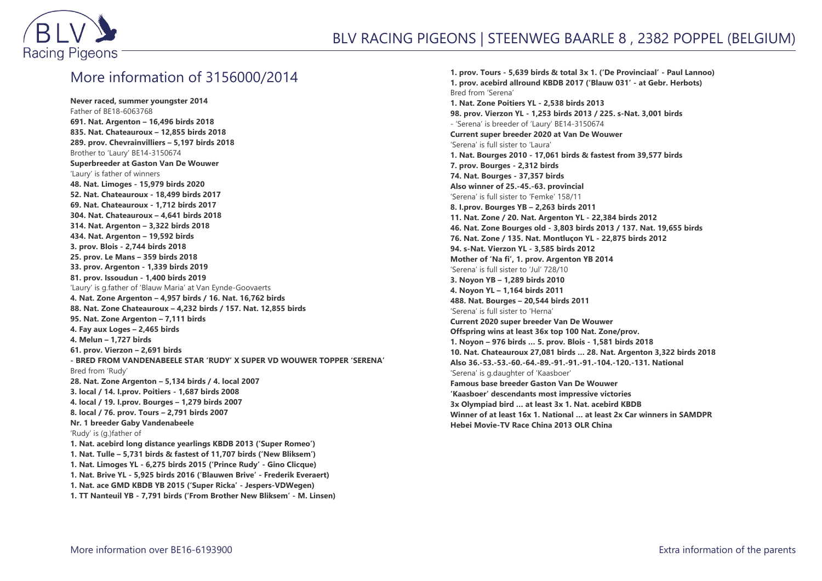

### More information of 3156000/2014

**Never raced, summer youngster 2014** Father of BE18-6063768 **691. Nat. Argenton – 16,496 birds 2018 835. Nat. Chateauroux – 12,855 birds 2018 289. prov. Chevrainvilliers – 5,197 birds 2018** Brother to 'Laury' BE14-3150674 **Superbreeder at Gaston Van De Wouwer** 'Laury' is father of winners **48. Nat. Limoges - 15,979 birds 2020 52. Nat. Chateauroux - 18,499 birds 2017 69. Nat. Chateauroux - 1,712 birds 2017 304. Nat. Chateauroux – 4,641 birds 2018 314. Nat. Argenton – 3,322 birds 2018 434. Nat. Argenton – 19,592 birds 3. prov. Blois - 2,744 birds 2018 25. prov. Le Mans – 359 birds 2018 33. prov. Argenton - 1,339 birds 2019 81. prov. Issoudun - 1,400 birds 2019** 'Laury' is g.father of 'Blauw Maria' at Van Eynde-Goovaerts **4. Nat. Zone Argenton – 4,957 birds / 16. Nat. 16,762 birds 88. Nat. Zone Chateauroux – 4,232 birds / 157. Nat. 12,855 birds 95. Nat. Zone Argenton – 7,111 birds 4. Fay aux Loges – 2,465 birds 4. Melun – 1,727 birds 61. prov. Vierzon – 2,691 birds - BRED FROM VANDENABEELE STAR 'RUDY' X SUPER VD WOUWER TOPPER 'SERENA'** Bred from 'Rudy' **28. Nat. Zone Argenton – 5,134 birds / 4. local 2007 3. local / 14. I.prov. Poitiers - 1,687 birds 2008 4. local / 19. I.prov. Bourges – 1,279 birds 2007 8. local / 76. prov. Tours – 2,791 birds 2007 Nr. 1 breeder Gaby Vandenabeele** 'Rudy' is (g.)father of **1. Nat. acebird long distance yearlings KBDB 2013 ('Super Romeo') 1. Nat. Tulle – 5,731 birds & fastest of 11,707 birds ('New Bliksem') 1. Nat. Limoges YL - 6,275 birds 2015 ('Prince Rudy' - Gino Clicque) 1. Nat. Brive YL - 5,925 birds 2016 ('Blauwen Brive' - Frederik Everaert) 1. Nat. ace GMD KBDB YB 2015 ('Super Ricka' - Jespers-VDWegen) 1. TT Nanteuil YB - 7,791 birds ('From Brother New Bliksem' - M. Linsen)**

**1. prov. Tours - 5,639 birds & total 3x 1. ('De Provinciaal' - Paul Lannoo) 1. prov. acebird allround KBDB 2017 ('Blauw 031' - at Gebr. Herbots)** Bred from 'Serena' **1. Nat. Zone Poitiers YL - 2,538 birds 2013 98. prov. Vierzon YL - 1,253 birds 2013 / 225. s-Nat. 3,001 birds** - 'Serena' is breeder of 'Laury' BE14-3150674 **Current super breeder 2020 at Van De Wouwer** 'Serena' is full sister to 'Laura' **1. Nat. Bourges 2010 - 17,061 birds & fastest from 39,577 birds 7. prov. Bourges - 2,312 birds 74. Nat. Bourges - 37,357 birds Also winner of 25.-45.-63. provincial** 'Serena' is full sister to 'Femke' 158/11 **8. I.prov. Bourges YB – 2,263 birds 2011 11. Nat. Zone / 20. Nat. Argenton YL - 22,384 birds 2012 46. Nat. Zone Bourges old - 3,803 birds 2013 / 137. Nat. 19,655 birds 76. Nat. Zone / 135. Nat. Montluçon YL - 22,875 birds 2012 94. s-Nat. Vierzon YL - 3,585 birds 2012 Mother of 'Na fi', 1. prov. Argenton YB 2014** 'Serena' is full sister to 'Jul' 728/10 **3. Noyon YB – 1,289 birds 2010 4. Noyon YL – 1,164 birds 2011 488. Nat. Bourges – 20,544 birds 2011** 'Serena' is full sister to 'Herna' **Current 2020 super breeder Van De Wouwer Offspring wins at least 36x top 100 Nat. Zone/prov. 1. Noyon – 976 birds … 5. prov. Blois - 1,581 birds 2018 10. Nat. Chateauroux 27,081 birds … 28. Nat. Argenton 3,322 birds 2018 Also 36.-53.-53.-60.-64.-89.-91.-91.-91.-104.-120.-131. National** 'Serena' is g.daughter of 'Kaasboer' **Famous base breeder Gaston Van De Wouwer 'Kaasboer' descendants most impressive victories 3x Olympiad bird … at least 3x 1. Nat. acebird KBDB Winner of at least 16x 1. National … at least 2x Car winners in SAMDPR Hebei Movie-TV Race China 2013 OLR China**